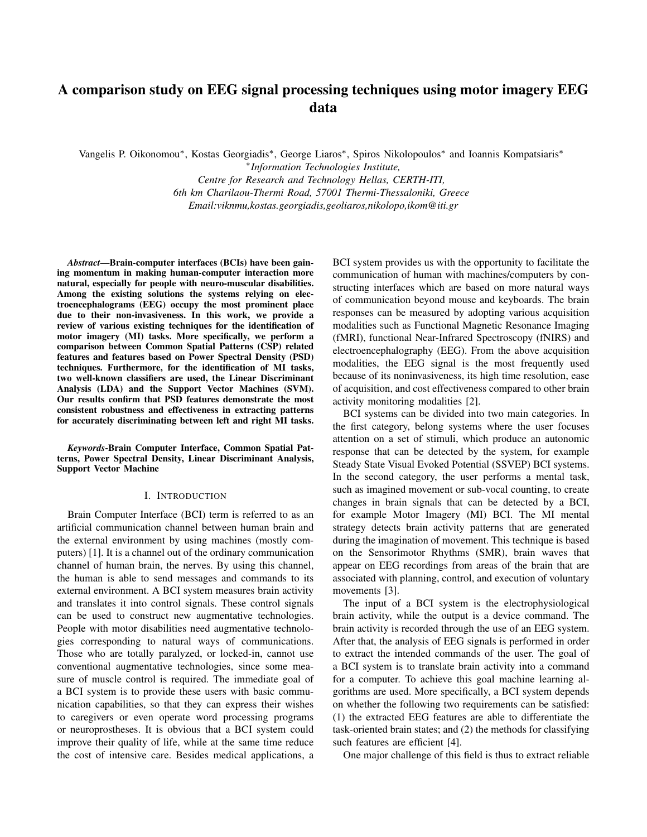# A comparison study on EEG signal processing techniques using motor imagery EEG data

Vangelis P. Oikonomou\*, Kostas Georgiadis\*, George Liaros\*, Spiros Nikolopoulos\* and Ioannis Kompatsiaris\*

∗ *Information Technologies Institute, Centre for Research and Technology Hellas, CERTH-ITI, 6th km Charilaou-Thermi Road, 57001 Thermi-Thessaloniki, Greece Email:viknmu,kostas.georgiadis,geoliaros,nikolopo,ikom@iti.gr*

*Abstract*—Brain-computer interfaces (BCIs) have been gaining momentum in making human-computer interaction more natural, especially for people with neuro-muscular disabilities. Among the existing solutions the systems relying on electroencephalograms (EEG) occupy the most prominent place due to their non-invasiveness. In this work, we provide a review of various existing techniques for the identification of motor imagery (MI) tasks. More specifically, we perform a comparison between Common Spatial Patterns (CSP) related features and features based on Power Spectral Density (PSD) techniques. Furthermore, for the identification of MI tasks, two well-known classifiers are used, the Linear Discriminant Analysis (LDA) and the Support Vector Machines (SVM). Our results confirm that PSD features demonstrate the most consistent robustness and effectiveness in extracting patterns for accurately discriminating between left and right MI tasks.

*Keywords*-Brain Computer Interface, Common Spatial Patterns, Power Spectral Density, Linear Discriminant Analysis, Support Vector Machine

### I. INTRODUCTION

Brain Computer Interface (BCI) term is referred to as an artificial communication channel between human brain and the external environment by using machines (mostly computers) [1]. It is a channel out of the ordinary communication channel of human brain, the nerves. By using this channel, the human is able to send messages and commands to its external environment. A BCI system measures brain activity and translates it into control signals. These control signals can be used to construct new augmentative technologies. People with motor disabilities need augmentative technologies corresponding to natural ways of communications. Those who are totally paralyzed, or locked-in, cannot use conventional augmentative technologies, since some measure of muscle control is required. The immediate goal of a BCI system is to provide these users with basic communication capabilities, so that they can express their wishes to caregivers or even operate word processing programs or neuroprostheses. It is obvious that a BCI system could improve their quality of life, while at the same time reduce the cost of intensive care. Besides medical applications, a BCI system provides us with the opportunity to facilitate the communication of human with machines/computers by constructing interfaces which are based on more natural ways of communication beyond mouse and keyboards. The brain responses can be measured by adopting various acquisition modalities such as Functional Magnetic Resonance Imaging (fMRI), functional Near-Infrared Spectroscopy (fNIRS) and electroencephalography (EEG). From the above acquisition modalities, the EEG signal is the most frequently used because of its noninvasiveness, its high time resolution, ease of acquisition, and cost effectiveness compared to other brain activity monitoring modalities [2].

BCI systems can be divided into two main categories. In the first category, belong systems where the user focuses attention on a set of stimuli, which produce an autonomic response that can be detected by the system, for example Steady State Visual Evoked Potential (SSVEP) BCI systems. In the second category, the user performs a mental task, such as imagined movement or sub-vocal counting, to create changes in brain signals that can be detected by a BCI, for example Motor Imagery (MI) BCI. The MI mental strategy detects brain activity patterns that are generated during the imagination of movement. This technique is based on the Sensorimotor Rhythms (SMR), brain waves that appear on EEG recordings from areas of the brain that are associated with planning, control, and execution of voluntary movements [3].

The input of a BCI system is the electrophysiological brain activity, while the output is a device command. The brain activity is recorded through the use of an EEG system. After that, the analysis of EEG signals is performed in order to extract the intended commands of the user. The goal of a BCI system is to translate brain activity into a command for a computer. To achieve this goal machine learning algorithms are used. More specifically, a BCI system depends on whether the following two requirements can be satisfied: (1) the extracted EEG features are able to differentiate the task-oriented brain states; and (2) the methods for classifying such features are efficient [4].

One major challenge of this field is thus to extract reliable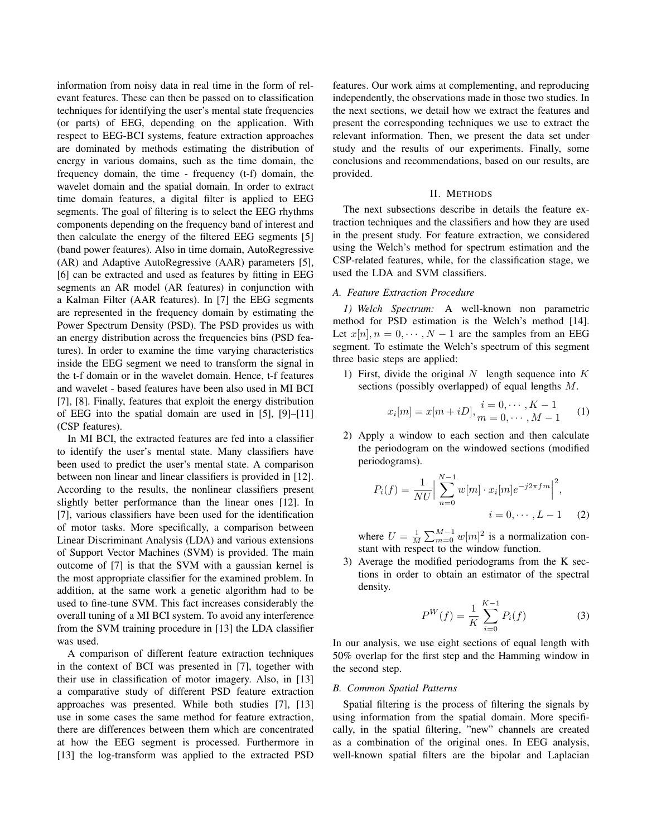information from noisy data in real time in the form of relevant features. These can then be passed on to classification techniques for identifying the user's mental state frequencies (or parts) of EEG, depending on the application. With respect to EEG-BCI systems, feature extraction approaches are dominated by methods estimating the distribution of energy in various domains, such as the time domain, the frequency domain, the time - frequency (t-f) domain, the wavelet domain and the spatial domain. In order to extract time domain features, a digital filter is applied to EEG segments. The goal of filtering is to select the EEG rhythms components depending on the frequency band of interest and then calculate the energy of the filtered EEG segments [5] (band power features). Also in time domain, AutoRegressive (AR) and Adaptive AutoRegressive (AAR) parameters [5], [6] can be extracted and used as features by fitting in EEG segments an AR model (AR features) in conjunction with a Kalman Filter (AAR features). In [7] the EEG segments are represented in the frequency domain by estimating the Power Spectrum Density (PSD). The PSD provides us with an energy distribution across the frequencies bins (PSD features). In order to examine the time varying characteristics inside the EEG segment we need to transform the signal in the t-f domain or in the wavelet domain. Hence, t-f features and wavelet - based features have been also used in MI BCI [7], [8]. Finally, features that exploit the energy distribution of EEG into the spatial domain are used in [5], [9]–[11] (CSP features).

In MI BCI, the extracted features are fed into a classifier to identify the user's mental state. Many classifiers have been used to predict the user's mental state. A comparison between non linear and linear classifiers is provided in [12]. According to the results, the nonlinear classifiers present slightly better performance than the linear ones [12]. In [7], various classifiers have been used for the identification of motor tasks. More specifically, a comparison between Linear Discriminant Analysis (LDA) and various extensions of Support Vector Machines (SVM) is provided. The main outcome of [7] is that the SVM with a gaussian kernel is the most appropriate classifier for the examined problem. In addition, at the same work a genetic algorithm had to be used to fine-tune SVM. This fact increases considerably the overall tuning of a MI BCI system. To avoid any interference from the SVM training procedure in [13] the LDA classifier was used.

A comparison of different feature extraction techniques in the context of BCI was presented in [7], together with their use in classification of motor imagery. Also, in [13] a comparative study of different PSD feature extraction approaches was presented. While both studies [7], [13] use in some cases the same method for feature extraction, there are differences between them which are concentrated at how the EEG segment is processed. Furthermore in [13] the log-transform was applied to the extracted PSD features. Our work aims at complementing, and reproducing independently, the observations made in those two studies. In the next sections, we detail how we extract the features and present the corresponding techniques we use to extract the relevant information. Then, we present the data set under study and the results of our experiments. Finally, some conclusions and recommendations, based on our results, are provided.

## II. METHODS

The next subsections describe in details the feature extraction techniques and the classifiers and how they are used in the present study. For feature extraction, we considered using the Welch's method for spectrum estimation and the CSP-related features, while, for the classification stage, we used the LDA and SVM classifiers.

## *A. Feature Extraction Procedure*

*1) Welch Spectrum:* A well-known non parametric method for PSD estimation is the Welch's method [14]. Let  $x[n], n = 0, \dots, N-1$  are the samples from an EEG segment. To estimate the Welch's spectrum of this segment three basic steps are applied:

1) First, divide the original  $N$  length sequence into  $K$ sections (possibly overlapped) of equal lengths M.

$$
x_i[m] = x[m + iD], \frac{i = 0, \cdots, K - 1}{m = 0, \cdots, M - 1}
$$
 (1)

2) Apply a window to each section and then calculate the periodogram on the windowed sections (modified periodograms).

$$
P_i(f) = \frac{1}{NU} \Big| \sum_{n=0}^{N-1} w[m] \cdot x_i[m] e^{-j2\pi fm} \Big|^2,
$$
  

$$
i = 0, \cdots, L-1 \qquad (2)
$$

where  $U = \frac{1}{M} \sum_{m=0}^{M-1} w[m]^2$  is a normalization constant with respect to the window function.

3) Average the modified periodograms from the K sections in order to obtain an estimator of the spectral density.

$$
P^{W}(f) = \frac{1}{K} \sum_{i=0}^{K-1} P_{i}(f)
$$
 (3)

In our analysis, we use eight sections of equal length with 50% overlap for the first step and the Hamming window in the second step.

## *B. Common Spatial Patterns*

Spatial filtering is the process of filtering the signals by using information from the spatial domain. More specifically, in the spatial filtering, "new" channels are created as a combination of the original ones. In EEG analysis, well-known spatial filters are the bipolar and Laplacian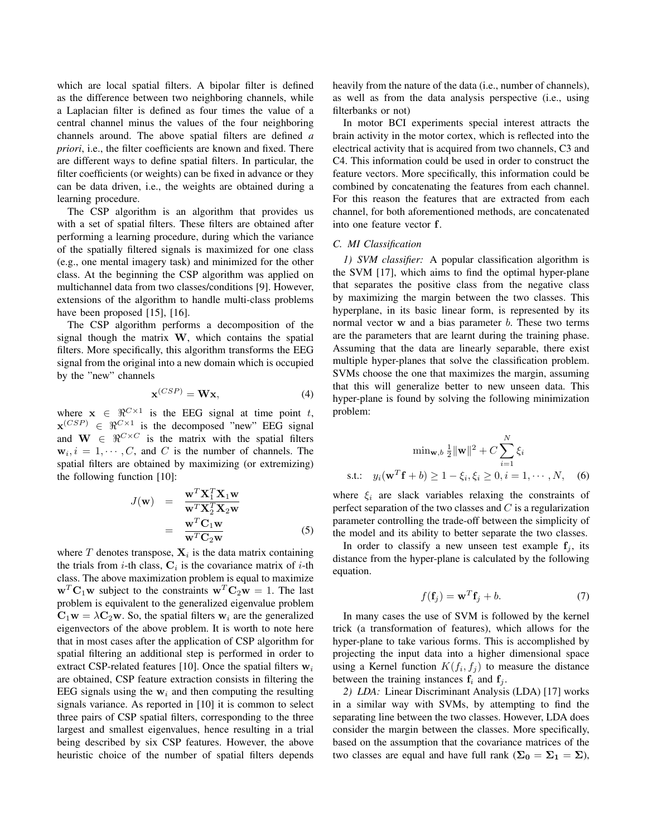which are local spatial filters. A bipolar filter is defined as the difference between two neighboring channels, while a Laplacian filter is defined as four times the value of a central channel minus the values of the four neighboring channels around. The above spatial filters are defined *a priori*, i.e., the filter coefficients are known and fixed. There are different ways to define spatial filters. In particular, the filter coefficients (or weights) can be fixed in advance or they can be data driven, i.e., the weights are obtained during a learning procedure.

The CSP algorithm is an algorithm that provides us with a set of spatial filters. These filters are obtained after performing a learning procedure, during which the variance of the spatially filtered signals is maximized for one class (e.g., one mental imagery task) and minimized for the other class. At the beginning the CSP algorithm was applied on multichannel data from two classes/conditions [9]. However, extensions of the algorithm to handle multi-class problems have been proposed [15], [16].

The CSP algorithm performs a decomposition of the signal though the matrix  $W$ , which contains the spatial filters. More specifically, this algorithm transforms the EEG signal from the original into a new domain which is occupied by the "new" channels

$$
\mathbf{x}^{(CSP)} = \mathbf{W}\mathbf{x},\tag{4}
$$

where  $x \in \Re^{C \times 1}$  is the EEG signal at time point t,  $\mathbf{x}^{(CSP)} \in \Re^{C \times 1}$  is the decomposed "new" EEG signal and  $\mathbf{W} \in \mathbb{R}^{C \times C}$  is the matrix with the spatial filters  $w_i, i = 1, \dots, C$ , and C is the number of channels. The spatial filters are obtained by maximizing (or extremizing) the following function [10]:

$$
J(\mathbf{w}) = \frac{\mathbf{w}^T \mathbf{X}_1^T \mathbf{X}_1 \mathbf{w}}{\mathbf{w}^T \mathbf{X}_2^T \mathbf{X}_2 \mathbf{w}}
$$
  
= 
$$
\frac{\mathbf{w}^T \mathbf{C}_1 \mathbf{w}}{\mathbf{w}^T \mathbf{C}_2 \mathbf{w}}
$$
(5)

where  $T$  denotes transpose,  $\mathbf{X}_i$  is the data matrix containing the trials from *i*-th class,  $C_i$  is the covariance matrix of *i*-th class. The above maximization problem is equal to maximize  $\mathbf{w}^T \mathbf{C}_1 \mathbf{w}$  subject to the constraints  $\mathbf{w}^T \mathbf{C}_2 \mathbf{w} = 1$ . The last problem is equivalent to the generalized eigenvalue problem  $C_1w = \lambda C_2w$ . So, the spatial filters  $w_i$  are the generalized eigenvectors of the above problem. It is worth to note here that in most cases after the application of CSP algorithm for spatial filtering an additional step is performed in order to extract CSP-related features [10]. Once the spatial filters  $w_i$ are obtained, CSP feature extraction consists in filtering the EEG signals using the  $w_i$  and then computing the resulting signals variance. As reported in [10] it is common to select three pairs of CSP spatial filters, corresponding to the three largest and smallest eigenvalues, hence resulting in a trial being described by six CSP features. However, the above heuristic choice of the number of spatial filters depends heavily from the nature of the data (i.e., number of channels), as well as from the data analysis perspective (i.e., using filterbanks or not)

In motor BCI experiments special interest attracts the brain activity in the motor cortex, which is reflected into the electrical activity that is acquired from two channels, C3 and C4. This information could be used in order to construct the feature vectors. More specifically, this information could be combined by concatenating the features from each channel. For this reason the features that are extracted from each channel, for both aforementioned methods, are concatenated into one feature vector f.

# *C. MI Classification*

*1) SVM classifier:* A popular classification algorithm is the SVM [17], which aims to find the optimal hyper-plane that separates the positive class from the negative class by maximizing the margin between the two classes. This hyperplane, in its basic linear form, is represented by its normal vector  $w$  and a bias parameter  $b$ . These two terms are the parameters that are learnt during the training phase. Assuming that the data are linearly separable, there exist multiple hyper-planes that solve the classification problem. SVMs choose the one that maximizes the margin, assuming that this will generalize better to new unseen data. This hyper-plane is found by solving the following minimization problem:

$$
\min_{\mathbf{w}, b} \frac{1}{2} \|\mathbf{w}\|^2 + C \sum_{i=1}^N \xi_i
$$
  
s.t.:  $y_i(\mathbf{w}^T \mathbf{f} + b) \ge 1 - \xi_i, \xi_i \ge 0, i = 1, \dots, N,$  (6)

where  $\xi_i$  are slack variables relaxing the constraints of perfect separation of the two classes and  $C$  is a regularization parameter controlling the trade-off between the simplicity of the model and its ability to better separate the two classes.

In order to classify a new unseen test example  $f_i$ , its distance from the hyper-plane is calculated by the following equation.

$$
f(\mathbf{f}_j) = \mathbf{w}^T \mathbf{f}_j + b. \tag{7}
$$

In many cases the use of SVM is followed by the kernel trick (a transformation of features), which allows for the hyper-plane to take various forms. This is accomplished by projecting the input data into a higher dimensional space using a Kernel function  $K(f_i, f_j)$  to measure the distance between the training instances  $f_i$  and  $f_j$ .

*2) LDA:* Linear Discriminant Analysis (LDA) [17] works in a similar way with SVMs, by attempting to find the separating line between the two classes. However, LDA does consider the margin between the classes. More specifically, based on the assumption that the covariance matrices of the two classes are equal and have full rank ( $\Sigma_0 = \Sigma_1 = \Sigma$ ),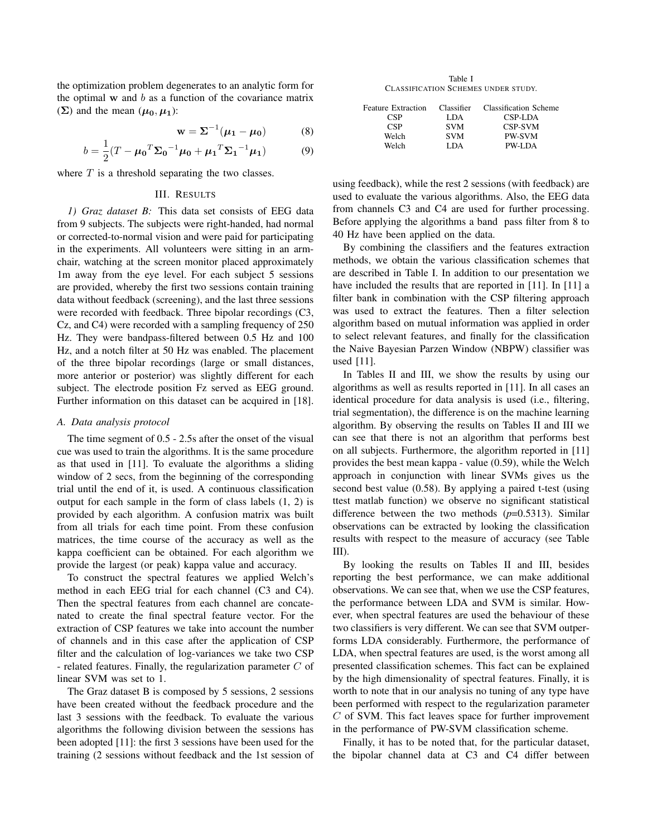the optimization problem degenerates to an analytic form for the optimal  $w$  and  $b$  as a function of the covariance matrix  $(\Sigma)$  and the mean  $(\mu_0, \mu_1)$ :

$$
\mathbf{w} = \mathbf{\Sigma}^{-1}(\boldsymbol{\mu}_1 - \boldsymbol{\mu}_0) \tag{8}
$$

$$
b = \frac{1}{2}(T - \mu_0^T \Sigma_0^{-1} \mu_0 + \mu_1^T \Sigma_1^{-1} \mu_1)
$$
(9)

where  $T$  is a threshold separating the two classes.

## III. RESULTS

*1) Graz dataset B:* This data set consists of EEG data from 9 subjects. The subjects were right-handed, had normal or corrected-to-normal vision and were paid for participating in the experiments. All volunteers were sitting in an armchair, watching at the screen monitor placed approximately 1m away from the eye level. For each subject 5 sessions are provided, whereby the first two sessions contain training data without feedback (screening), and the last three sessions were recorded with feedback. Three bipolar recordings (C3, Cz, and C4) were recorded with a sampling frequency of 250 Hz. They were bandpass-filtered between 0.5 Hz and 100 Hz, and a notch filter at 50 Hz was enabled. The placement of the three bipolar recordings (large or small distances, more anterior or posterior) was slightly different for each subject. The electrode position Fz served as EEG ground. Further information on this dataset can be acquired in [18].

# *A. Data analysis protocol*

The time segment of 0.5 - 2.5s after the onset of the visual cue was used to train the algorithms. It is the same procedure as that used in [11]. To evaluate the algorithms a sliding window of 2 secs, from the beginning of the corresponding trial until the end of it, is used. A continuous classification output for each sample in the form of class labels (1, 2) is provided by each algorithm. A confusion matrix was built from all trials for each time point. From these confusion matrices, the time course of the accuracy as well as the kappa coefficient can be obtained. For each algorithm we provide the largest (or peak) kappa value and accuracy.

To construct the spectral features we applied Welch's method in each EEG trial for each channel (C3 and C4). Then the spectral features from each channel are concatenated to create the final spectral feature vector. For the extraction of CSP features we take into account the number of channels and in this case after the application of CSP filter and the calculation of log-variances we take two CSP - related features. Finally, the regularization parameter C of linear SVM was set to 1.

The Graz dataset B is composed by 5 sessions, 2 sessions have been created without the feedback procedure and the last 3 sessions with the feedback. To evaluate the various algorithms the following division between the sessions has been adopted [11]: the first 3 sessions have been used for the training (2 sessions without feedback and the 1st session of

Table I CLASSIFICATION SCHEMES UNDER STUDY.

| <b>Feature Extraction</b> | Classifier | Classification Scheme |
|---------------------------|------------|-----------------------|
| <b>CSP</b>                | LDA.       | CSP-LDA               |
| <b>CSP</b>                | <b>SVM</b> | <b>CSP-SVM</b>        |
| Welch                     | <b>SVM</b> | <b>PW-SVM</b>         |
| Welch                     | LDA.       | <b>PW-LDA</b>         |

using feedback), while the rest 2 sessions (with feedback) are used to evaluate the various algorithms. Also, the EEG data from channels C3 and C4 are used for further processing. Before applying the algorithms a band pass filter from 8 to 40 Hz have been applied on the data.

By combining the classifiers and the features extraction methods, we obtain the various classification schemes that are described in Table I. In addition to our presentation we have included the results that are reported in [11]. In [11] a filter bank in combination with the CSP filtering approach was used to extract the features. Then a filter selection algorithm based on mutual information was applied in order to select relevant features, and finally for the classification the Naive Bayesian Parzen Window (NBPW) classifier was used [11].

In Tables II and III, we show the results by using our algorithms as well as results reported in [11]. In all cases an identical procedure for data analysis is used (i.e., filtering, trial segmentation), the difference is on the machine learning algorithm. By observing the results on Tables II and III we can see that there is not an algorithm that performs best on all subjects. Furthermore, the algorithm reported in [11] provides the best mean kappa - value (0.59), while the Welch approach in conjunction with linear SVMs gives us the second best value (0.58). By applying a paired t-test (using ttest matlab function) we observe no significant statistical difference between the two methods (*p*=0.5313). Similar observations can be extracted by looking the classification results with respect to the measure of accuracy (see Table III).

By looking the results on Tables II and III, besides reporting the best performance, we can make additional observations. We can see that, when we use the CSP features, the performance between LDA and SVM is similar. However, when spectral features are used the behaviour of these two classifiers is very different. We can see that SVM outperforms LDA considerably. Furthermore, the performance of LDA, when spectral features are used, is the worst among all presented classification schemes. This fact can be explained by the high dimensionality of spectral features. Finally, it is worth to note that in our analysis no tuning of any type have been performed with respect to the regularization parameter C of SVM. This fact leaves space for further improvement in the performance of PW-SVM classification scheme.

Finally, it has to be noted that, for the particular dataset, the bipolar channel data at C3 and C4 differ between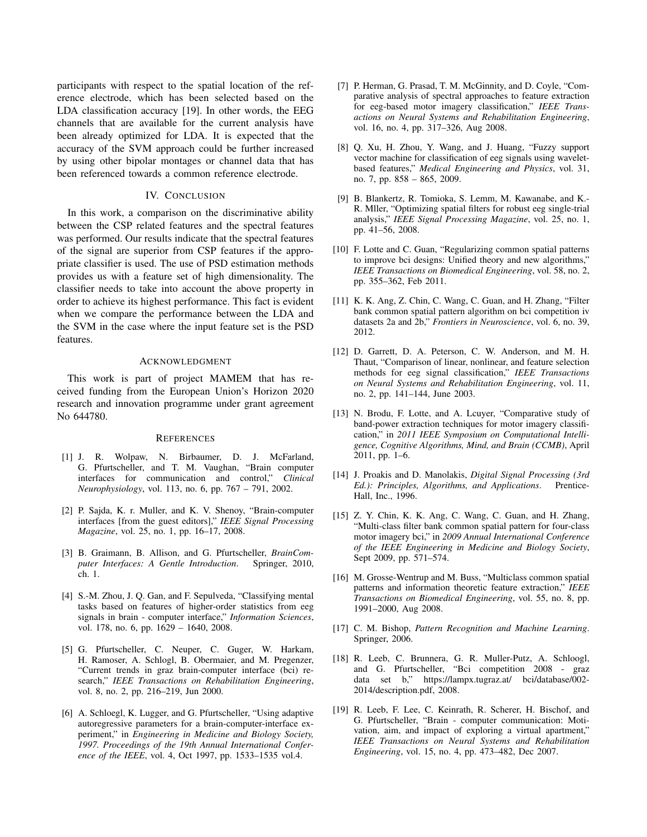participants with respect to the spatial location of the reference electrode, which has been selected based on the LDA classification accuracy [19]. In other words, the EEG channels that are available for the current analysis have been already optimized for LDA. It is expected that the accuracy of the SVM approach could be further increased by using other bipolar montages or channel data that has been referenced towards a common reference electrode.

# IV. CONCLUSION

In this work, a comparison on the discriminative ability between the CSP related features and the spectral features was performed. Our results indicate that the spectral features of the signal are superior from CSP features if the appropriate classifier is used. The use of PSD estimation methods provides us with a feature set of high dimensionality. The classifier needs to take into account the above property in order to achieve its highest performance. This fact is evident when we compare the performance between the LDA and the SVM in the case where the input feature set is the PSD features.

#### ACKNOWLEDGMENT

This work is part of project MAMEM that has received funding from the European Union's Horizon 2020 research and innovation programme under grant agreement No 644780.

## **REFERENCES**

- [1] J. R. Wolpaw, N. Birbaumer, D. J. McFarland, G. Pfurtscheller, and T. M. Vaughan, "Brain computer interfaces for communication and control," *Clinical Neurophysiology*, vol. 113, no. 6, pp. 767 – 791, 2002.
- [2] P. Sajda, K. r. Muller, and K. V. Shenoy, "Brain-computer interfaces [from the guest editors]," *IEEE Signal Processing Magazine*, vol. 25, no. 1, pp. 16–17, 2008.
- [3] B. Graimann, B. Allison, and G. Pfurtscheller, *BrainComputer Interfaces: A Gentle Introduction*. Springer, 2010, ch. 1.
- [4] S.-M. Zhou, J. Q. Gan, and F. Sepulveda, "Classifying mental tasks based on features of higher-order statistics from eeg signals in brain - computer interface," *Information Sciences*, vol. 178, no. 6, pp. 1629 – 1640, 2008.
- [5] G. Pfurtscheller, C. Neuper, C. Guger, W. Harkam, H. Ramoser, A. Schlogl, B. Obermaier, and M. Pregenzer, "Current trends in graz brain-computer interface (bci) research," *IEEE Transactions on Rehabilitation Engineering*, vol. 8, no. 2, pp. 216–219, Jun 2000.
- [6] A. Schloegl, K. Lugger, and G. Pfurtscheller, "Using adaptive autoregressive parameters for a brain-computer-interface experiment," in *Engineering in Medicine and Biology Society, 1997. Proceedings of the 19th Annual International Conference of the IEEE*, vol. 4, Oct 1997, pp. 1533–1535 vol.4.
- [7] P. Herman, G. Prasad, T. M. McGinnity, and D. Coyle, "Comparative analysis of spectral approaches to feature extraction for eeg-based motor imagery classification," *IEEE Transactions on Neural Systems and Rehabilitation Engineering*, vol. 16, no. 4, pp. 317–326, Aug 2008.
- [8] Q. Xu, H. Zhou, Y. Wang, and J. Huang, "Fuzzy support vector machine for classification of eeg signals using waveletbased features," *Medical Engineering and Physics*, vol. 31, no. 7, pp. 858 – 865, 2009.
- [9] B. Blankertz, R. Tomioka, S. Lemm, M. Kawanabe, and K.- R. Mller, "Optimizing spatial filters for robust eeg single-trial analysis," *IEEE Signal Processing Magazine*, vol. 25, no. 1, pp. 41–56, 2008.
- [10] F. Lotte and C. Guan, "Regularizing common spatial patterns to improve bci designs: Unified theory and new algorithms," *IEEE Transactions on Biomedical Engineering*, vol. 58, no. 2, pp. 355–362, Feb 2011.
- [11] K. K. Ang, Z. Chin, C. Wang, C. Guan, and H. Zhang, "Filter bank common spatial pattern algorithm on bci competition iv datasets 2a and 2b," *Frontiers in Neuroscience*, vol. 6, no. 39, 2012.
- [12] D. Garrett, D. A. Peterson, C. W. Anderson, and M. H. Thaut, "Comparison of linear, nonlinear, and feature selection methods for eeg signal classification," *IEEE Transactions on Neural Systems and Rehabilitation Engineering*, vol. 11, no. 2, pp. 141–144, June 2003.
- [13] N. Brodu, F. Lotte, and A. Lcuyer, "Comparative study of band-power extraction techniques for motor imagery classification," in *2011 IEEE Symposium on Computational Intelligence, Cognitive Algorithms, Mind, and Brain (CCMB)*, April 2011, pp. 1–6.
- [14] J. Proakis and D. Manolakis, *Digital Signal Processing (3rd Ed.): Principles, Algorithms, and Applications*. Prentice-Hall, Inc., 1996.
- [15] Z. Y. Chin, K. K. Ang, C. Wang, C. Guan, and H. Zhang, "Multi-class filter bank common spatial pattern for four-class motor imagery bci," in *2009 Annual International Conference of the IEEE Engineering in Medicine and Biology Society*, Sept 2009, pp. 571–574.
- [16] M. Grosse-Wentrup and M. Buss, "Multiclass common spatial patterns and information theoretic feature extraction," *IEEE Transactions on Biomedical Engineering*, vol. 55, no. 8, pp. 1991–2000, Aug 2008.
- [17] C. M. Bishop, *Pattern Recognition and Machine Learning*. Springer, 2006.
- [18] R. Leeb, C. Brunnera, G. R. Muller-Putz, A. Schloogl, and G. Pfurtscheller, "Bci competition 2008 - graz data set b," https://lampx.tugraz.at/ bci/database/002- 2014/description.pdf, 2008.
- [19] R. Leeb, F. Lee, C. Keinrath, R. Scherer, H. Bischof, and G. Pfurtscheller, "Brain - computer communication: Motivation, aim, and impact of exploring a virtual apartment," *IEEE Transactions on Neural Systems and Rehabilitation Engineering*, vol. 15, no. 4, pp. 473–482, Dec 2007.